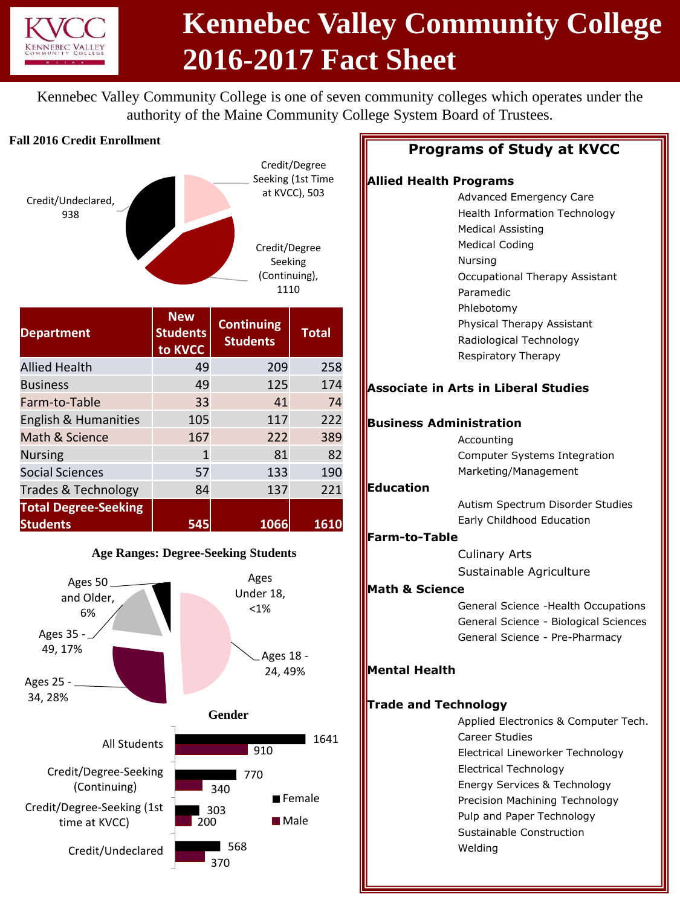

# **Kennebec Valley Community College 2016-2017 Fact Sheet**

Kennebec Valley Community College is one of seven community colleges which operates under the authority of the Maine Community College System Board of Trustees.

#### **Fall 2016 Credit Enrollment**



| <b>Department</b>           | <b>New</b><br><b>Students</b><br>to KVCC | <b>Continuing</b><br><b>Students</b> | <b>Total</b> |
|-----------------------------|------------------------------------------|--------------------------------------|--------------|
| <b>Allied Health</b>        | 49                                       | 209                                  | 258          |
| <b>Business</b>             | 49                                       | 125                                  | 174          |
| Farm-to-Table               | 33                                       | 41                                   | 74           |
| English & Humanities        | 105                                      | 117                                  | 222          |
| Math & Science              | 167                                      | 222                                  | 389          |
| <b>Nursing</b>              | 1                                        | 81                                   | 82           |
| <b>Social Sciences</b>      | 57                                       | 133                                  | 190          |
| Trades & Technology         | 84                                       | 137                                  | 221          |
| <b>Total Degree-Seeking</b> |                                          |                                      |              |
| <b>Students</b>             | 545                                      | 1066                                 | 1610         |



## **Programs of Study at KVCC**

### **Allied Health Progr**

| Allied Health Programs      |                                             |
|-----------------------------|---------------------------------------------|
|                             | Advanced Emergency Care                     |
|                             | Health Information Technology               |
|                             | <b>Medical Assisting</b>                    |
|                             | <b>Medical Coding</b>                       |
|                             | Nursing                                     |
|                             | Occupational Therapy Assistant              |
|                             | Paramedic                                   |
|                             | Phlebotomy                                  |
|                             | Physical Therapy Assistant                  |
|                             | Radiological Technology                     |
|                             | Respiratory Therapy                         |
|                             | <b>Associate in Arts in Liberal Studies</b> |
|                             | <b>Business Administration</b>              |
|                             | Accounting                                  |
|                             | Computer Systems Integration                |
|                             | Marketing/Management                        |
| Education                   |                                             |
|                             | Autism Spectrum Disorder Studies            |
|                             | Early Childhood Education                   |
| <b>Farm-to-Table</b>        |                                             |
|                             | <b>Culinary Arts</b>                        |
|                             | Sustainable Agriculture                     |
| <b>Math &amp; Science</b>   |                                             |
|                             | General Science - Health Occupations        |
|                             | General Science - Biological Sciences       |
|                             | General Science - Pre-Pharmacy              |
|                             |                                             |
| <b>Mental Health</b>        |                                             |
| <b>Trade and Technology</b> |                                             |
|                             | Applied Electronics & Computer Tech.        |
|                             | <b>Career Studies</b>                       |
|                             | Electrical Lineworker Technology            |
|                             | <b>Electrical Technology</b>                |
|                             | Energy Services & Technology                |
|                             | Precision Machining Technology              |
|                             | Pulp and Paper Technology                   |
|                             | Sustainable Construction                    |
|                             | Welding                                     |